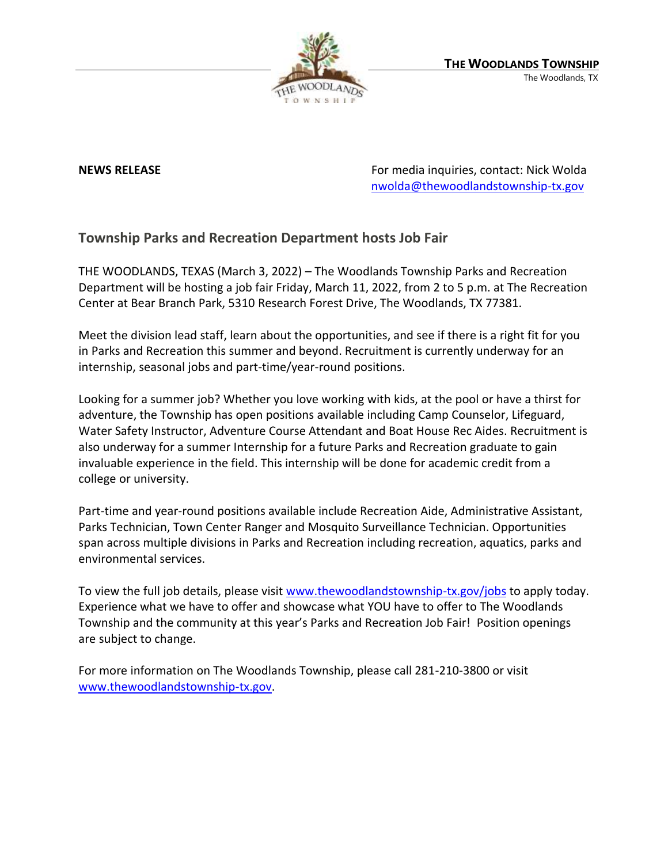

**NEWS RELEASE EXECUTE: RELEASE For media inquiries, contact: Nick Wolda** [nwolda@thewoodlandstownship-tx.gov](mailto:nwolda@thewoodlandstownship-tx.gov)

## **Township Parks and Recreation Department hosts Job Fair**

THE WOODLANDS, TEXAS (March 3, 2022) – The Woodlands Township Parks and Recreation Department will be hosting a job fair Friday, March 11, 2022, from 2 to 5 p.m. at The Recreation Center at Bear Branch Park, 5310 Research Forest Drive, The Woodlands, TX 77381.

Meet the division lead staff, learn about the opportunities, and see if there is a right fit for you in Parks and Recreation this summer and beyond. Recruitment is currently underway for an internship, seasonal jobs and part-time/year-round positions.

Looking for a summer job? Whether you love working with kids, at the pool or have a thirst for adventure, the Township has open positions available including Camp Counselor, Lifeguard, Water Safety Instructor, Adventure Course Attendant and Boat House Rec Aides. Recruitment is also underway for a summer Internship for a future Parks and Recreation graduate to gain invaluable experience in the field. This internship will be done for academic credit from a college or university.

Part-time and year-round positions available include Recreation Aide, Administrative Assistant, Parks Technician, Town Center Ranger and Mosquito Surveillance Technician. Opportunities span across multiple divisions in Parks and Recreation including recreation, aquatics, parks and environmental services.

To view the full job details, please visit [www.thewoodlandstownship-tx.gov/jobs](http://www.thewoodlandstownship-tx.gov/jobs) to apply today. Experience what we have to offer and showcase what YOU have to offer to The Woodlands Township and the community at this year's Parks and Recreation Job Fair! Position openings are subject to change.

For more information on The Woodlands Township, please call 281-210-3800 or visit [www.thewoodlandstownship-tx.gov.](http://www.thewoodlandstownship-tx.gov/)